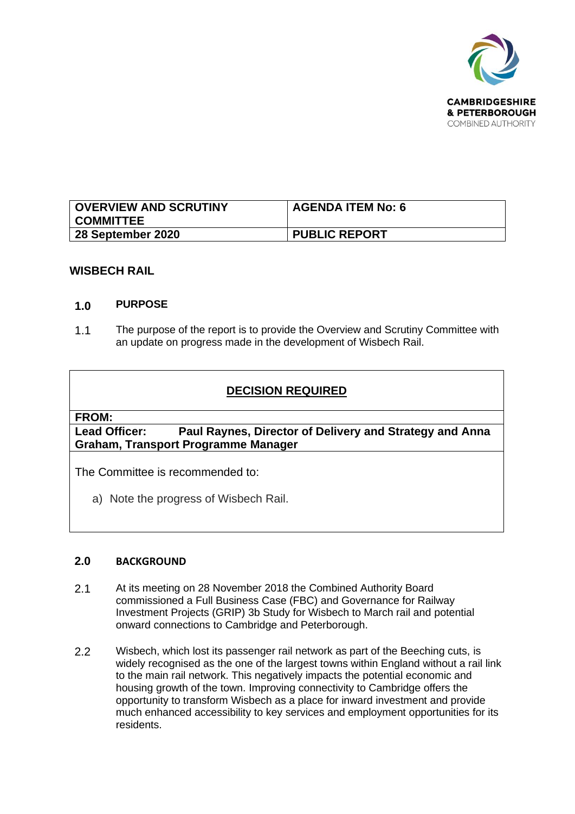

| <b>OVERVIEW AND SCRUTINY</b><br><b>COMMITTEE</b> | <b>AGENDA ITEM No: 6</b> |
|--------------------------------------------------|--------------------------|
| 28 September 2020                                | <b>PUBLIC REPORT</b>     |

### **WISBECH RAIL**

#### **1.0 PURPOSE**

1.1 The purpose of the report is to provide the Overview and Scrutiny Committee with an update on progress made in the development of Wisbech Rail.

# **DECISION REQUIRED**

#### **FROM:**

**Lead Officer: Paul Raynes, Director of Delivery and Strategy and Anna Graham, Transport Programme Manager**

The Committee is recommended to:

a) Note the progress of Wisbech Rail.

## **2.0 BACKGROUND**

- 2.1 At its meeting on 28 November 2018 the Combined Authority Board commissioned a Full Business Case (FBC) and Governance for Railway Investment Projects (GRIP) 3b Study for Wisbech to March rail and potential onward connections to Cambridge and Peterborough.
- 2.2 Wisbech, which lost its passenger rail network as part of the Beeching cuts, is widely recognised as the one of the largest towns within England without a rail link to the main rail network. This negatively impacts the potential economic and housing growth of the town. Improving connectivity to Cambridge offers the opportunity to transform Wisbech as a place for inward investment and provide much enhanced accessibility to key services and employment opportunities for its residents.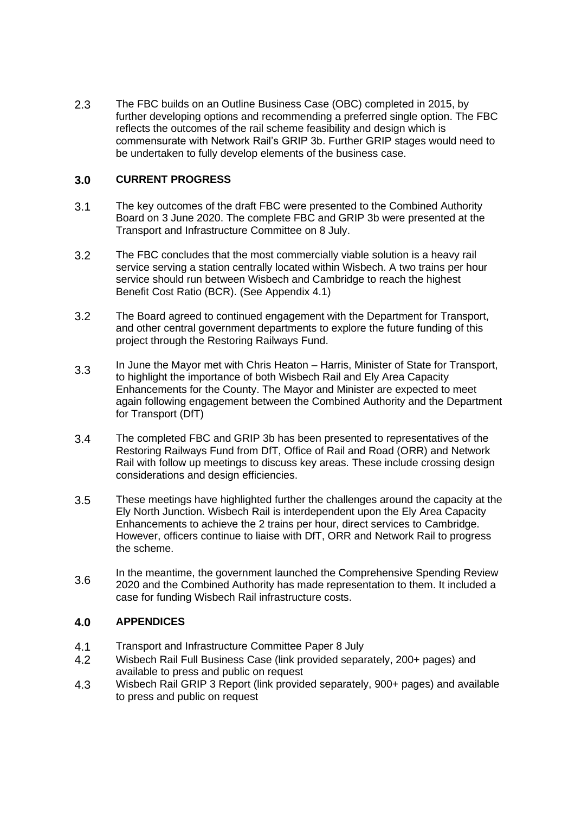2.3 The FBC builds on an Outline Business Case (OBC) completed in 2015, by further developing options and recommending a preferred single option. The FBC reflects the outcomes of the rail scheme feasibility and design which is commensurate with Network Rail's GRIP 3b. Further GRIP stages would need to be undertaken to fully develop elements of the business case.

## **3.0 CURRENT PROGRESS**

- 3.1 The key outcomes of the draft FBC were presented to the Combined Authority Board on 3 June 2020. The complete FBC and GRIP 3b were presented at the Transport and Infrastructure Committee on 8 July.
- 3.2 The FBC concludes that the most commercially viable solution is a heavy rail service serving a station centrally located within Wisbech. A two trains per hour service should run between Wisbech and Cambridge to reach the highest Benefit Cost Ratio (BCR). (See Appendix 4.1)
- 3.2 The Board agreed to continued engagement with the Department for Transport, and other central government departments to explore the future funding of this project through the Restoring Railways Fund.
- 3.3 In June the Mayor met with Chris Heaton – Harris, Minister of State for Transport, to highlight the importance of both Wisbech Rail and Ely Area Capacity Enhancements for the County. The Mayor and Minister are expected to meet again following engagement between the Combined Authority and the Department for Transport (DfT)
- 3.4 The completed FBC and GRIP 3b has been presented to representatives of the Restoring Railways Fund from DfT, Office of Rail and Road (ORR) and Network Rail with follow up meetings to discuss key areas. These include crossing design considerations and design efficiencies.
- 3.5 These meetings have highlighted further the challenges around the capacity at the Ely North Junction. Wisbech Rail is interdependent upon the Ely Area Capacity Enhancements to achieve the 2 trains per hour, direct services to Cambridge. However, officers continue to liaise with DfT, ORR and Network Rail to progress the scheme.
- 3.6 In the meantime, the government launched the Comprehensive Spending Review 2020 and the Combined Authority has made representation to them. It included a case for funding Wisbech Rail infrastructure costs.

#### **4.0 APPENDICES**

- 4.1 Transport and Infrastructure Committee Paper 8 July
- 4.2 Wisbech Rail Full Business Case (link provided separately, 200+ pages) and available to press and public on request
- 4.3 Wisbech Rail GRIP 3 Report (link provided separately, 900+ pages) and available to press and public on request